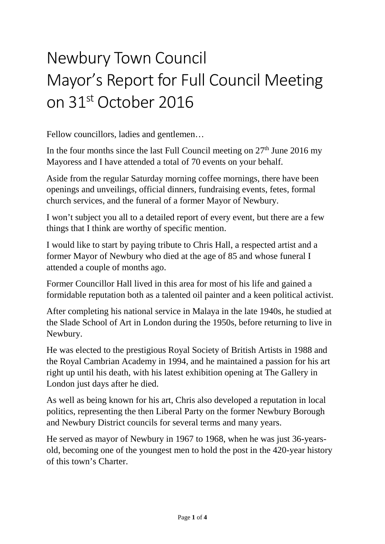## Newbury Town Council Mayor's Report for Full Council Meeting on 31st October 2016

Fellow councillors, ladies and gentlemen…

In the four months since the last Full Council meeting on  $27<sup>th</sup>$  June 2016 my Mayoress and I have attended a total of 70 events on your behalf.

Aside from the regular Saturday morning coffee mornings, there have been openings and unveilings, official dinners, fundraising events, fetes, formal church services, and the funeral of a former Mayor of Newbury.

I won't subject you all to a detailed report of every event, but there are a few things that I think are worthy of specific mention.

I would like to start by paying tribute to Chris Hall, a respected artist and a former Mayor of Newbury who died at the age of 85 and whose funeral I attended a couple of months ago.

Former Councillor Hall lived in this area for most of his life and gained a formidable reputation both as a talented oil painter and a keen political activist.

After completing his national service in Malaya in the late 1940s, he studied at the Slade School of Art in London during the 1950s, before returning to live in Newbury.

He was elected to the prestigious Royal Society of British Artists in 1988 and the Royal Cambrian Academy in 1994, and he maintained a passion for his art right up until his death, with his latest exhibition opening at The Gallery in London just days after he died.

As well as being known for his art, Chris also developed a reputation in local politics, representing the then Liberal Party on the former Newbury Borough and Newbury District councils for several terms and many years.

He served as mayor of Newbury in 1967 to 1968, when he was just 36-yearsold, becoming one of the youngest men to hold the post in the 420-year history of this town's Charter.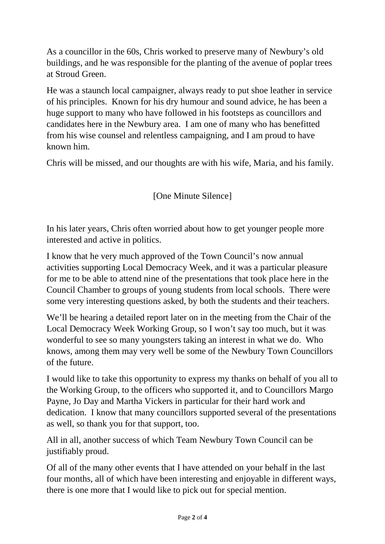As a councillor in the 60s, Chris worked to preserve many of Newbury's old buildings, and he was responsible for the planting of the avenue of poplar trees at Stroud Green.

He was a staunch local campaigner, always ready to put shoe leather in service of his principles. Known for his dry humour and sound advice, he has been a huge support to many who have followed in his footsteps as councillors and candidates here in the Newbury area. I am one of many who has benefitted from his wise counsel and relentless campaigning, and I am proud to have known him.

Chris will be missed, and our thoughts are with his wife, Maria, and his family.

[One Minute Silence]

In his later years, Chris often worried about how to get younger people more interested and active in politics.

I know that he very much approved of the Town Council's now annual activities supporting Local Democracy Week, and it was a particular pleasure for me to be able to attend nine of the presentations that took place here in the Council Chamber to groups of young students from local schools. There were some very interesting questions asked, by both the students and their teachers.

We'll be hearing a detailed report later on in the meeting from the Chair of the Local Democracy Week Working Group, so I won't say too much, but it was wonderful to see so many youngsters taking an interest in what we do. Who knows, among them may very well be some of the Newbury Town Councillors of the future.

I would like to take this opportunity to express my thanks on behalf of you all to the Working Group, to the officers who supported it, and to Councillors Margo Payne, Jo Day and Martha Vickers in particular for their hard work and dedication. I know that many councillors supported several of the presentations as well, so thank you for that support, too.

All in all, another success of which Team Newbury Town Council can be justifiably proud.

Of all of the many other events that I have attended on your behalf in the last four months, all of which have been interesting and enjoyable in different ways, there is one more that I would like to pick out for special mention.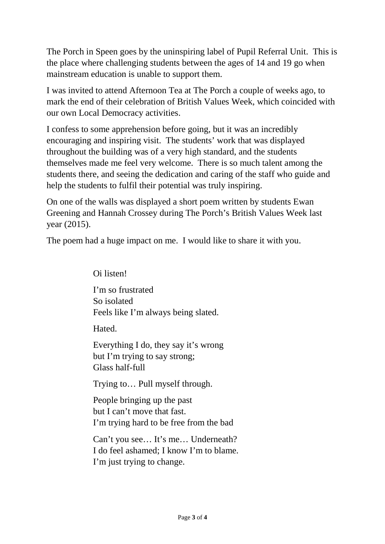The Porch in Speen goes by the uninspiring label of Pupil Referral Unit. This is the place where challenging students between the ages of 14 and 19 go when mainstream education is unable to support them.

I was invited to attend Afternoon Tea at The Porch a couple of weeks ago, to mark the end of their celebration of British Values Week, which coincided with our own Local Democracy activities.

I confess to some apprehension before going, but it was an incredibly encouraging and inspiring visit. The students' work that was displayed throughout the building was of a very high standard, and the students themselves made me feel very welcome. There is so much talent among the students there, and seeing the dedication and caring of the staff who guide and help the students to fulfil their potential was truly inspiring.

On one of the walls was displayed a short poem written by students Ewan Greening and Hannah Crossey during The Porch's British Values Week last year (2015).

The poem had a huge impact on me. I would like to share it with you.

I'm so frustrated So isolated Feels like I'm always being slated.

Hated.

Oi listen!

Everything I do, they say it's wrong but I'm trying to say strong; Glass half-full

Trying to… Pull myself through.

People bringing up the past but I can't move that fast. I'm trying hard to be free from the bad

Can't you see… It's me… Underneath? I do feel ashamed; I know I'm to blame. I'm just trying to change.